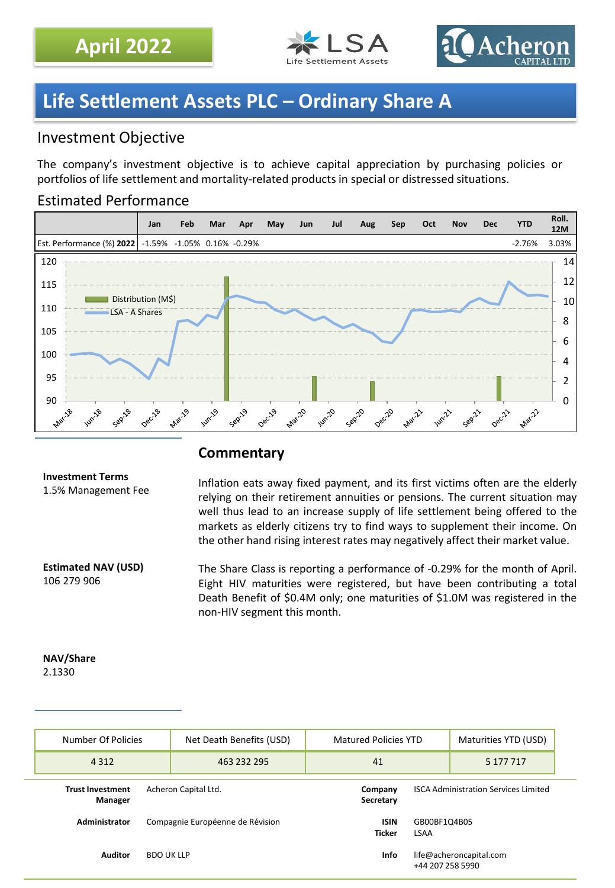



## **Life Settlement Assets PLC – Ordinary Share A**

## Investment Objective

The company's investment objective is to achieve capital appreciation by purchasing policies or portfolios of life settlement and mortality-related products in special or distressed situations.

### Estimated Performance



### **Commentary**

## **Investment Terms**

1.5% Management Fee

**Estimated NAV (USD)** 106 279 906

Inflation eats away fixed payment, and its first victims often are the elderly relying on their retirement annuities or pensions. The current situation may well thus lead to an increase supply of life settlement being offered to the markets as elderly citizens try to find ways to supplement their income. On the other hand rising interest rates may negatively affect their market value.

The Share Class is reporting a performance of -0.29% for the month of April. Eight HIV maturities were registered, but have been contributing a total Death Benefit of \$0.4M only; one maturities of \$1.0M was registered in the non-HIV segment this month.

#### **NAV/Share** 2.1330

| Number Of Policies                                         | Net Death Benefits (USD)         | <b>Matured Policies YTD</b> |                                                      | Maturities YTD (USD) |
|------------------------------------------------------------|----------------------------------|-----------------------------|------------------------------------------------------|----------------------|
| 4 3 1 2                                                    | 463 232 295                      | 41                          |                                                      | 5 177 717            |
| Acheron Capital Ltd.<br><b>Trust Investment</b><br>Manager |                                  | Company<br>Secretary        | <b>ISCA Administration Services Limited</b>          |                      |
| Administrator                                              | Compagnie Européenne de Révision |                             | <b>ISIN</b><br>GB00BF1Q4B05<br><b>Ticker</b><br>LSAA |                      |
| <b>Auditor</b><br><b>BDO UK LLP</b>                        |                                  | Info                        | life@acheroncapital.com<br>+44 207 258 5990          |                      |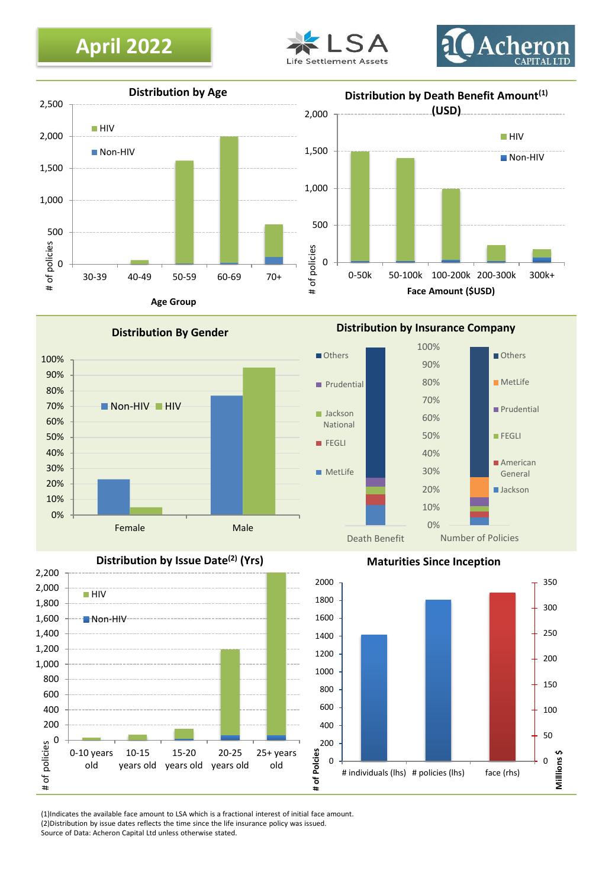# **April 2022**







**Distribution By Gender**



**Distribution by Issue Date(2) (Yrs)**

0 200 400 600 800 1000 1200 1400 1600 1800 2000 **# of Polcies** 0 200 400 600 800 1,000 1,200 1,400 1,600 1,800 2,000 2,200 0-10 years old 10-15 years old 15-20 years old 20-25 years old 25+ years old # of policies **HIV** Non-HIV

**Distribution by Insurance Company**





**Maturities Since Inception**

(1)Indicates the available face amount to LSA which is a fractional interest of initial face amount. (2)Distribution by issue dates reflects the time since the life insurance policy was issued. Source of Data: Acheron Capital Ltd unless otherwise stated.